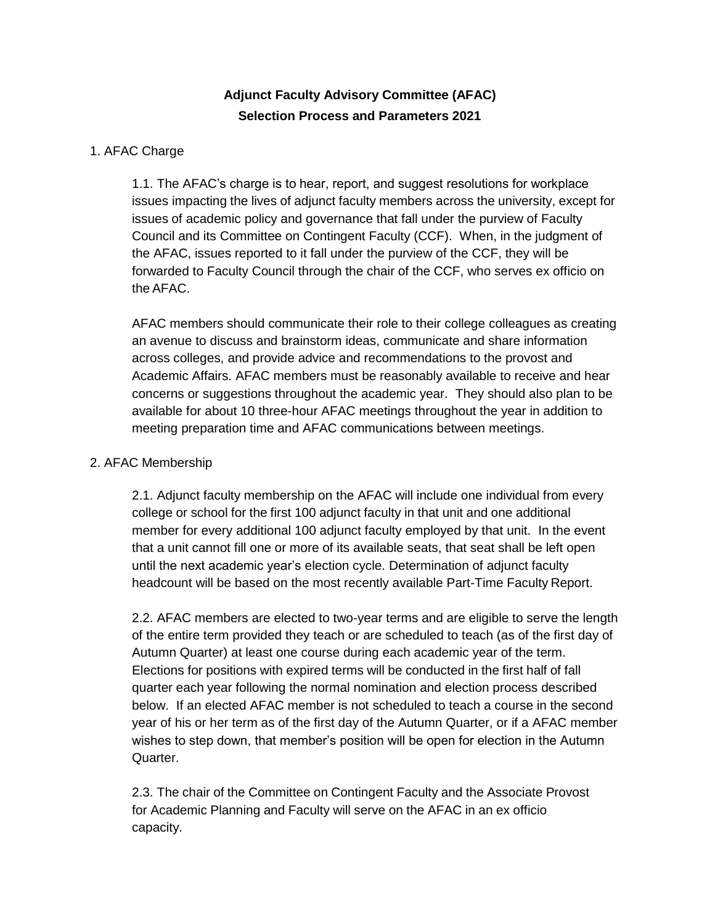# **Adjunct Faculty Advisory Committee (AFAC) Selection Process and Parameters 2021**

# 1. AFAC Charge

1.1. The AFAC's charge is to hear, report, and suggest resolutions for workplace issues impacting the lives of adjunct faculty members across the university, except for issues of academic policy and governance that fall under the purview of Faculty Council and its Committee on Contingent Faculty (CCF). When, in the judgment of the AFAC, issues reported to it fall under the purview of the CCF, they will be forwarded to Faculty Council through the chair of the CCF, who serves ex officio on the AFAC.

AFAC members should communicate their role to their college colleagues as creating an avenue to discuss and brainstorm ideas, communicate and share information across colleges, and provide advice and recommendations to the provost and Academic Affairs. AFAC members must be reasonably available to receive and hear concerns or suggestions throughout the academic year. They should also plan to be available for about 10 three-hour AFAC meetings throughout the year in addition to meeting preparation time and AFAC communications between meetings.

# 2. AFAC Membership

2.1. Adjunct faculty membership on the AFAC will include one individual from every college or school for the first 100 adjunct faculty in that unit and one additional member for every additional 100 adjunct faculty employed by that unit. In the event that a unit cannot fill one or more of its available seats, that seat shall be left open until the next academic year's election cycle. Determination of adjunct faculty headcount will be based on the most recently available Part-Time Faculty Report.

2.2. AFAC members are elected to two-year terms and are eligible to serve the length of the entire term provided they teach or are scheduled to teach (as of the first day of Autumn Quarter) at least one course during each academic year of the term. Elections for positions with expired terms will be conducted in the first half of fall quarter each year following the normal nomination and election process described below. If an elected AFAC member is not scheduled to teach a course in the second year of his or her term as of the first day of the Autumn Quarter, or if a AFAC member wishes to step down, that member's position will be open for election in the Autumn Quarter.

2.3. The chair of the Committee on Contingent Faculty and the Associate Provost for Academic Planning and Faculty will serve on the AFAC in an ex officio capacity.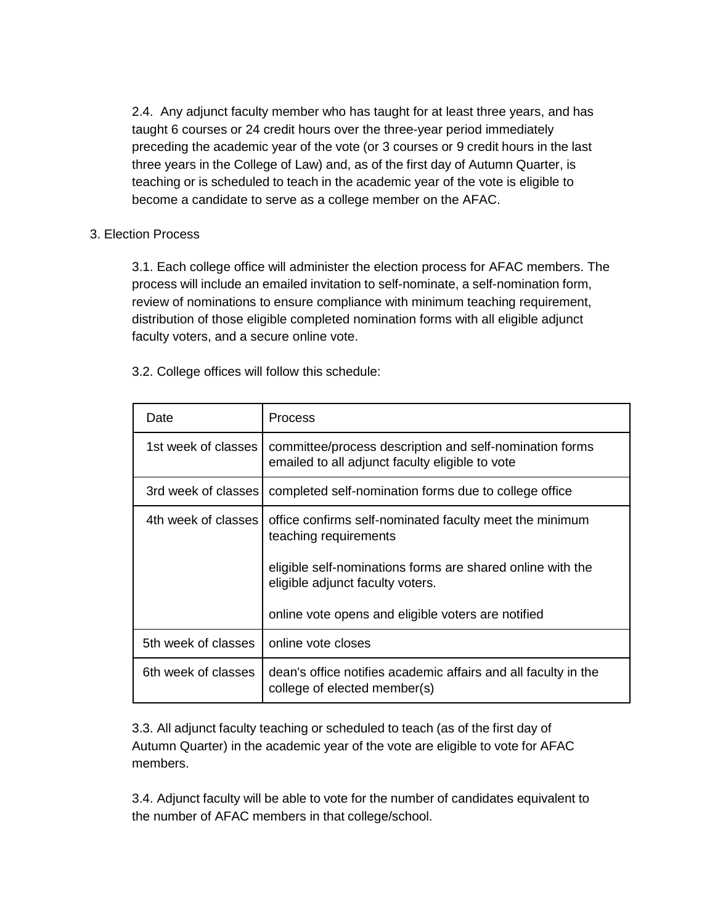2.4. Any adjunct faculty member who has taught for at least three years, and has taught 6 courses or 24 credit hours over the three-year period immediately preceding the academic year of the vote (or 3 courses or 9 credit hours in the last three years in the College of Law) and, as of the first day of Autumn Quarter, is teaching or is scheduled to teach in the academic year of the vote is eligible to become a candidate to serve as a college member on the AFAC.

# 3. Election Process

3.1. Each college office will administer the election process for AFAC members. The process will include an emailed invitation to self-nominate, a self-nomination form, review of nominations to ensure compliance with minimum teaching requirement, distribution of those eligible completed nomination forms with all eligible adjunct faculty voters, and a secure online vote.

| Date                | Process                                                                                                    |
|---------------------|------------------------------------------------------------------------------------------------------------|
| 1st week of classes | committee/process description and self-nomination forms<br>emailed to all adjunct faculty eligible to vote |
| 3rd week of classes | completed self-nomination forms due to college office                                                      |
| 4th week of classes | office confirms self-nominated faculty meet the minimum<br>teaching requirements                           |
|                     | eligible self-nominations forms are shared online with the<br>eligible adjunct faculty voters.             |
|                     | online vote opens and eligible voters are notified                                                         |
| 5th week of classes | online vote closes                                                                                         |
| 6th week of classes | dean's office notifies academic affairs and all faculty in the<br>college of elected member(s)             |

3.2. College offices will follow this schedule:

3.3. All adjunct faculty teaching or scheduled to teach (as of the first day of Autumn Quarter) in the academic year of the vote are eligible to vote for AFAC members.

3.4. Adjunct faculty will be able to vote for the number of candidates equivalent to the number of AFAC members in that college/school.